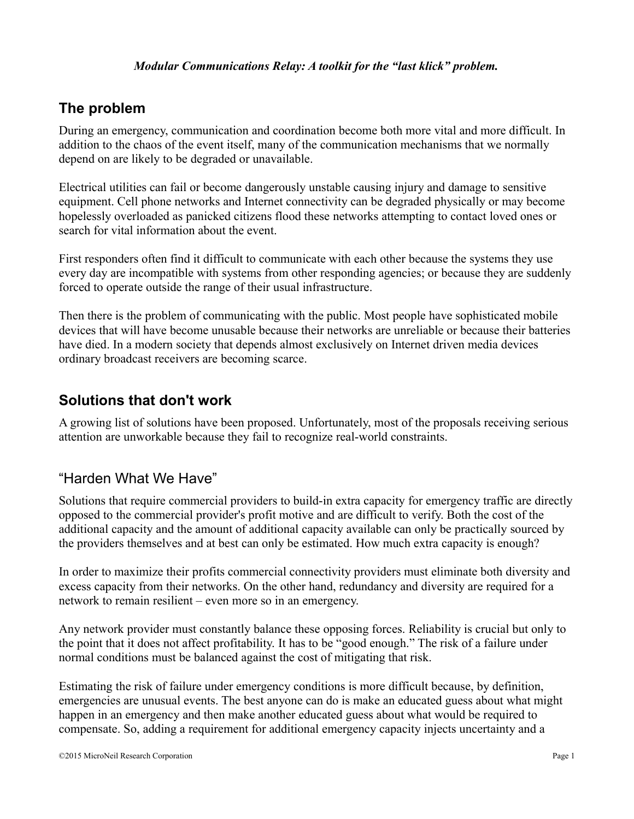# **The problem**

During an emergency, communication and coordination become both more vital and more difficult. In addition to the chaos of the event itself, many of the communication mechanisms that we normally depend on are likely to be degraded or unavailable.

Electrical utilities can fail or become dangerously unstable causing injury and damage to sensitive equipment. Cell phone networks and Internet connectivity can be degraded physically or may become hopelessly overloaded as panicked citizens flood these networks attempting to contact loved ones or search for vital information about the event.

First responders often find it difficult to communicate with each other because the systems they use every day are incompatible with systems from other responding agencies; or because they are suddenly forced to operate outside the range of their usual infrastructure.

Then there is the problem of communicating with the public. Most people have sophisticated mobile devices that will have become unusable because their networks are unreliable or because their batteries have died. In a modern society that depends almost exclusively on Internet driven media devices ordinary broadcast receivers are becoming scarce.

# **Solutions that don't work**

A growing list of solutions have been proposed. Unfortunately, most of the proposals receiving serious attention are unworkable because they fail to recognize real-world constraints.

# "Harden What We Have"

Solutions that require commercial providers to build-in extra capacity for emergency traffic are directly opposed to the commercial provider's profit motive and are difficult to verify. Both the cost of the additional capacity and the amount of additional capacity available can only be practically sourced by the providers themselves and at best can only be estimated. How much extra capacity is enough?

In order to maximize their profits commercial connectivity providers must eliminate both diversity and excess capacity from their networks. On the other hand, redundancy and diversity are required for a network to remain resilient – even more so in an emergency.

Any network provider must constantly balance these opposing forces. Reliability is crucial but only to the point that it does not affect profitability. It has to be "good enough." The risk of a failure under normal conditions must be balanced against the cost of mitigating that risk.

Estimating the risk of failure under emergency conditions is more difficult because, by definition, emergencies are unusual events. The best anyone can do is make an educated guess about what might happen in an emergency and then make another educated guess about what would be required to compensate. So, adding a requirement for additional emergency capacity injects uncertainty and a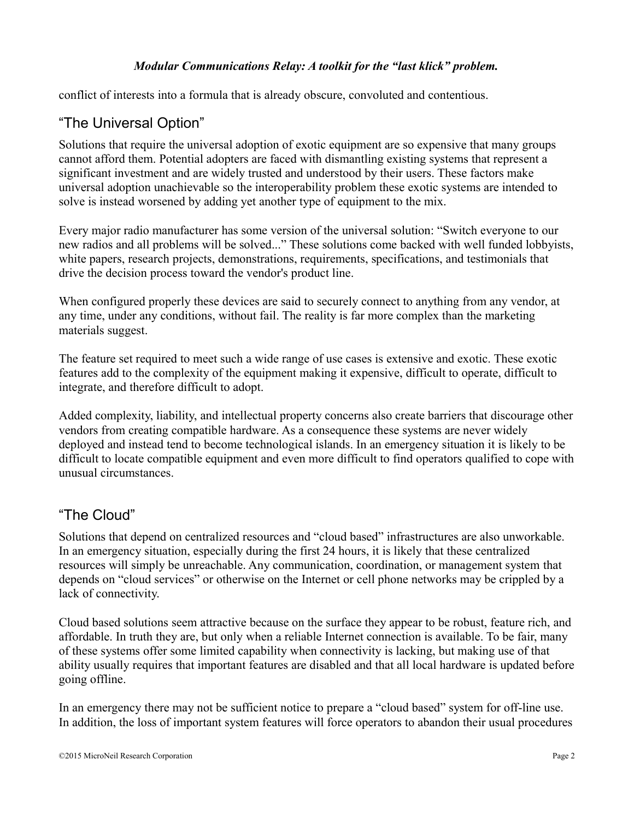conflict of interests into a formula that is already obscure, convoluted and contentious.

### "The Universal Option"

Solutions that require the universal adoption of exotic equipment are so expensive that many groups cannot afford them. Potential adopters are faced with dismantling existing systems that represent a significant investment and are widely trusted and understood by their users. These factors make universal adoption unachievable so the interoperability problem these exotic systems are intended to solve is instead worsened by adding yet another type of equipment to the mix.

Every major radio manufacturer has some version of the universal solution: "Switch everyone to our new radios and all problems will be solved..." These solutions come backed with well funded lobbyists, white papers, research projects, demonstrations, requirements, specifications, and testimonials that drive the decision process toward the vendor's product line.

When configured properly these devices are said to securely connect to anything from any vendor, at any time, under any conditions, without fail. The reality is far more complex than the marketing materials suggest.

The feature set required to meet such a wide range of use cases is extensive and exotic. These exotic features add to the complexity of the equipment making it expensive, difficult to operate, difficult to integrate, and therefore difficult to adopt.

Added complexity, liability, and intellectual property concerns also create barriers that discourage other vendors from creating compatible hardware. As a consequence these systems are never widely deployed and instead tend to become technological islands. In an emergency situation it is likely to be difficult to locate compatible equipment and even more difficult to find operators qualified to cope with unusual circumstances.

### "The Cloud"

Solutions that depend on centralized resources and "cloud based" infrastructures are also unworkable. In an emergency situation, especially during the first 24 hours, it is likely that these centralized resources will simply be unreachable. Any communication, coordination, or management system that depends on "cloud services" or otherwise on the Internet or cell phone networks may be crippled by a lack of connectivity.

Cloud based solutions seem attractive because on the surface they appear to be robust, feature rich, and affordable. In truth they are, but only when a reliable Internet connection is available. To be fair, many of these systems offer some limited capability when connectivity is lacking, but making use of that ability usually requires that important features are disabled and that all local hardware is updated before going offline.

In an emergency there may not be sufficient notice to prepare a "cloud based" system for off-line use. In addition, the loss of important system features will force operators to abandon their usual procedures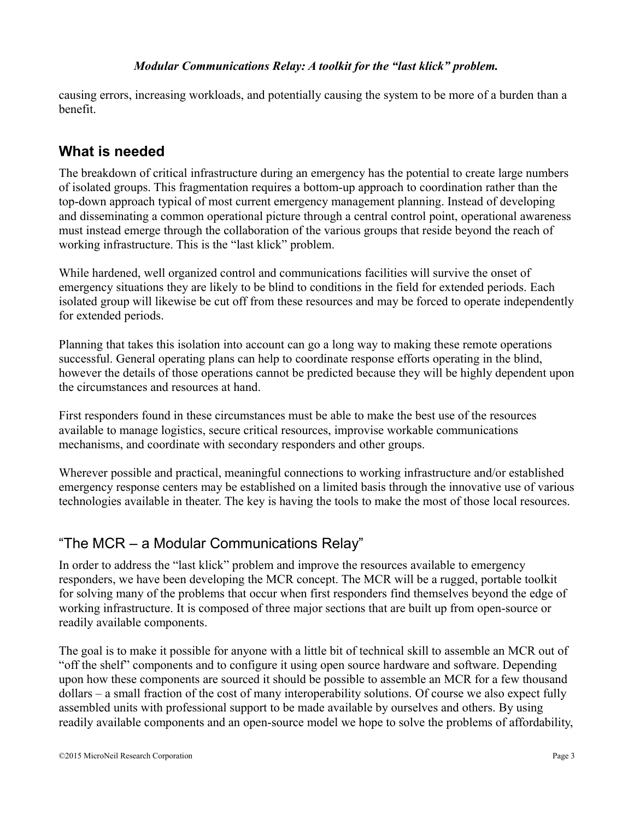causing errors, increasing workloads, and potentially causing the system to be more of a burden than a benefit.

# **What is needed**

The breakdown of critical infrastructure during an emergency has the potential to create large numbers of isolated groups. This fragmentation requires a bottom-up approach to coordination rather than the top-down approach typical of most current emergency management planning. Instead of developing and disseminating a common operational picture through a central control point, operational awareness must instead emerge through the collaboration of the various groups that reside beyond the reach of working infrastructure. This is the "last klick" problem.

While hardened, well organized control and communications facilities will survive the onset of emergency situations they are likely to be blind to conditions in the field for extended periods. Each isolated group will likewise be cut off from these resources and may be forced to operate independently for extended periods.

Planning that takes this isolation into account can go a long way to making these remote operations successful. General operating plans can help to coordinate response efforts operating in the blind, however the details of those operations cannot be predicted because they will be highly dependent upon the circumstances and resources at hand.

First responders found in these circumstances must be able to make the best use of the resources available to manage logistics, secure critical resources, improvise workable communications mechanisms, and coordinate with secondary responders and other groups.

Wherever possible and practical, meaningful connections to working infrastructure and/or established emergency response centers may be established on a limited basis through the innovative use of various technologies available in theater. The key is having the tools to make the most of those local resources.

# "The MCR – a Modular Communications Relay"

In order to address the "last klick" problem and improve the resources available to emergency responders, we have been developing the MCR concept. The MCR will be a rugged, portable toolkit for solving many of the problems that occur when first responders find themselves beyond the edge of working infrastructure. It is composed of three major sections that are built up from open-source or readily available components.

The goal is to make it possible for anyone with a little bit of technical skill to assemble an MCR out of "off the shelf" components and to configure it using open source hardware and software. Depending upon how these components are sourced it should be possible to assemble an MCR for a few thousand dollars – a small fraction of the cost of many interoperability solutions. Of course we also expect fully assembled units with professional support to be made available by ourselves and others. By using readily available components and an open-source model we hope to solve the problems of affordability,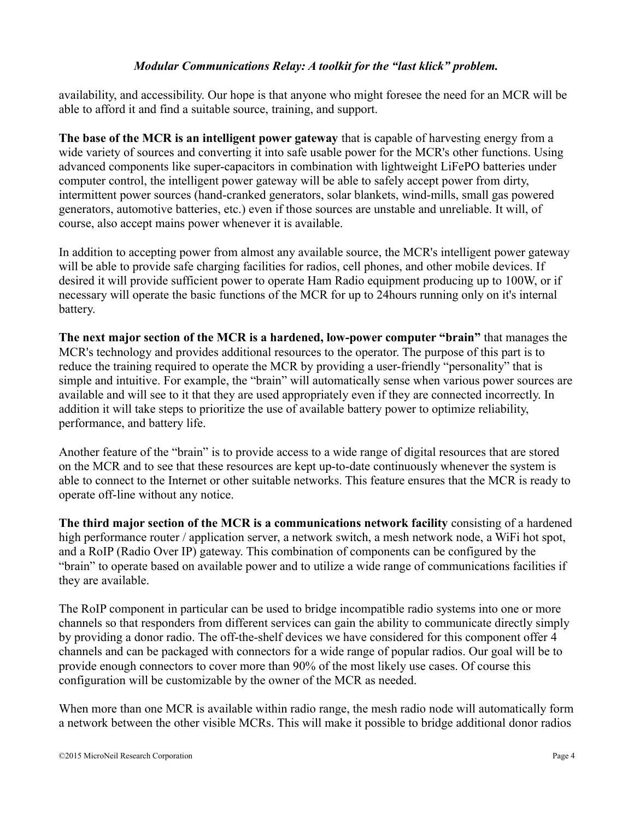availability, and accessibility. Our hope is that anyone who might foresee the need for an MCR will be able to afford it and find a suitable source, training, and support.

**The base of the MCR is an intelligent power gateway** that is capable of harvesting energy from a wide variety of sources and converting it into safe usable power for the MCR's other functions. Using advanced components like super-capacitors in combination with lightweight LiFePO batteries under computer control, the intelligent power gateway will be able to safely accept power from dirty, intermittent power sources (hand-cranked generators, solar blankets, wind-mills, small gas powered generators, automotive batteries, etc.) even if those sources are unstable and unreliable. It will, of course, also accept mains power whenever it is available.

In addition to accepting power from almost any available source, the MCR's intelligent power gateway will be able to provide safe charging facilities for radios, cell phones, and other mobile devices. If desired it will provide sufficient power to operate Ham Radio equipment producing up to 100W, or if necessary will operate the basic functions of the MCR for up to 24hours running only on it's internal battery.

**The next major section of the MCR is a hardened, low-power computer "brain"** that manages the MCR's technology and provides additional resources to the operator. The purpose of this part is to reduce the training required to operate the MCR by providing a user-friendly "personality" that is simple and intuitive. For example, the "brain" will automatically sense when various power sources are available and will see to it that they are used appropriately even if they are connected incorrectly. In addition it will take steps to prioritize the use of available battery power to optimize reliability, performance, and battery life.

Another feature of the "brain" is to provide access to a wide range of digital resources that are stored on the MCR and to see that these resources are kept up-to-date continuously whenever the system is able to connect to the Internet or other suitable networks. This feature ensures that the MCR is ready to operate off-line without any notice.

**The third major section of the MCR is a communications network facility** consisting of a hardened high performance router / application server, a network switch, a mesh network node, a WiFi hot spot, and a RoIP (Radio Over IP) gateway. This combination of components can be configured by the "brain" to operate based on available power and to utilize a wide range of communications facilities if they are available.

The RoIP component in particular can be used to bridge incompatible radio systems into one or more channels so that responders from different services can gain the ability to communicate directly simply by providing a donor radio. The off-the-shelf devices we have considered for this component offer 4 channels and can be packaged with connectors for a wide range of popular radios. Our goal will be to provide enough connectors to cover more than 90% of the most likely use cases. Of course this configuration will be customizable by the owner of the MCR as needed.

When more than one MCR is available within radio range, the mesh radio node will automatically form a network between the other visible MCRs. This will make it possible to bridge additional donor radios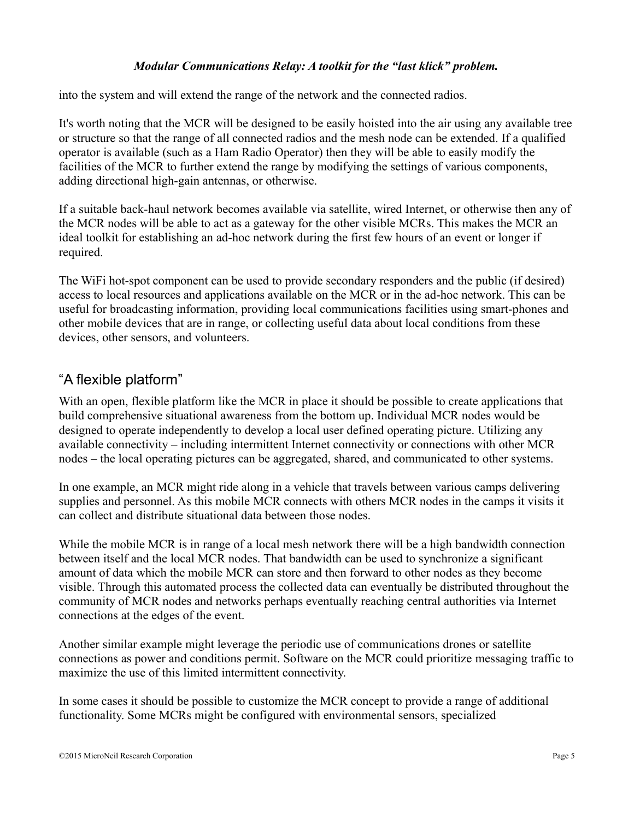into the system and will extend the range of the network and the connected radios.

It's worth noting that the MCR will be designed to be easily hoisted into the air using any available tree or structure so that the range of all connected radios and the mesh node can be extended. If a qualified operator is available (such as a Ham Radio Operator) then they will be able to easily modify the facilities of the MCR to further extend the range by modifying the settings of various components, adding directional high-gain antennas, or otherwise.

If a suitable back-haul network becomes available via satellite, wired Internet, or otherwise then any of the MCR nodes will be able to act as a gateway for the other visible MCRs. This makes the MCR an ideal toolkit for establishing an ad-hoc network during the first few hours of an event or longer if required.

The WiFi hot-spot component can be used to provide secondary responders and the public (if desired) access to local resources and applications available on the MCR or in the ad-hoc network. This can be useful for broadcasting information, providing local communications facilities using smart-phones and other mobile devices that are in range, or collecting useful data about local conditions from these devices, other sensors, and volunteers.

# "A flexible platform"

With an open, flexible platform like the MCR in place it should be possible to create applications that build comprehensive situational awareness from the bottom up. Individual MCR nodes would be designed to operate independently to develop a local user defined operating picture. Utilizing any available connectivity – including intermittent Internet connectivity or connections with other MCR nodes – the local operating pictures can be aggregated, shared, and communicated to other systems.

In one example, an MCR might ride along in a vehicle that travels between various camps delivering supplies and personnel. As this mobile MCR connects with others MCR nodes in the camps it visits it can collect and distribute situational data between those nodes.

While the mobile MCR is in range of a local mesh network there will be a high bandwidth connection between itself and the local MCR nodes. That bandwidth can be used to synchronize a significant amount of data which the mobile MCR can store and then forward to other nodes as they become visible. Through this automated process the collected data can eventually be distributed throughout the community of MCR nodes and networks perhaps eventually reaching central authorities via Internet connections at the edges of the event.

Another similar example might leverage the periodic use of communications drones or satellite connections as power and conditions permit. Software on the MCR could prioritize messaging traffic to maximize the use of this limited intermittent connectivity.

In some cases it should be possible to customize the MCR concept to provide a range of additional functionality. Some MCRs might be configured with environmental sensors, specialized